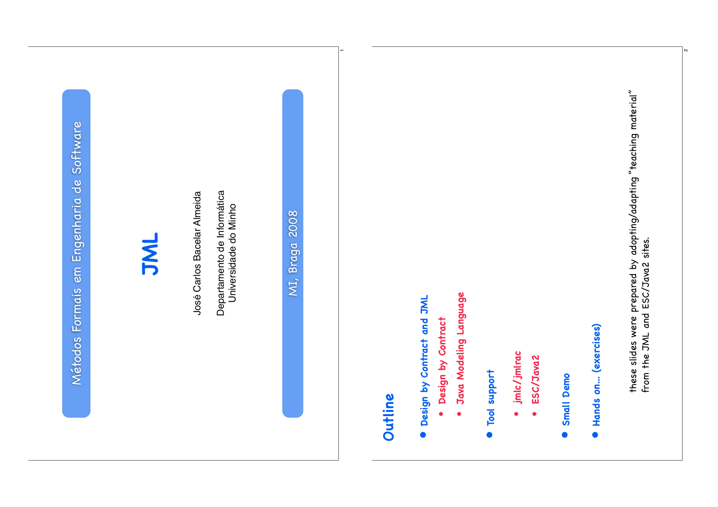Software Métodos Formais em Engenharia de Software Métodos Formais em Engenharia de

### **JML**

José Carlos Bacelar Almeida José Carlos Bacelar Almeida

Departamento de Informática Departamento de Informática Universidade do Minho Universidade do Minho

MI, Braga 2008 MI, Braga 2008

 $\overline{\phantom{0}}$ 

## **Outline**

- · Design by Contract and JML **Design by Contract and JML**
- Design by Contract **Design by Contract** •
- Java Modeling Language **Java Modeling Language** •
- Tool support **Tool support** •
- jmlc/jmlrac **jmlc/jmlrac** •
- ESC/Java2 **ESC/Java2** •
- Small Demo **Small Demo** •
- · Hands on... (exercises) **Hands on... (exercises)**

these slides were prepared by adopting/adapting "teaching material" these slides were prepared by adopting/adapting "teaching material"<br>from the JML and ESC/Java2 sites. from the JML and ESC/Java2 sites.

ณ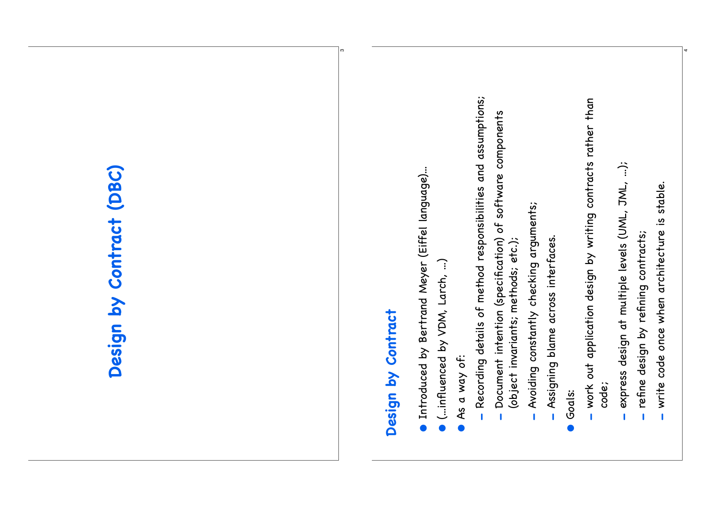# Design by Contract (DBC) **Design by Contract (DBC)**

## Design by Contract **Design by Contract**

ო

- **Introduced by Bertrand Meyer (Eiffel language)...** Introduced by Bertrand Meyer (Eiffel language)...
- $\bullet$  (...influenced by VDM, Larch, ...) (...influenced by VDM, Larch, ...)
- As a way of: As a way of:
- Recording details of method responsibilities and assumptions; Recording details of method responsibilities and assumptions;
- Document intention (specification) of software components Document intention (specification) of software components (object invariants; methods; etc.); (object invariants; methods; etc.); -
- Avoiding constantly checking arguments; Avoiding constantly checking arguments; -
- Assigning blame across interfaces. Assigning blame across interfaces. -
- •Goals:
- work out application design by writing contracts rather than work out application design by writing contracts rather than code; -
- express design at multiple levels (UML, JML, ...); express design at multiple levels (UML, JML, ...); -
- refine design by refining contracts; refine design by refining contracts; -
- write code once when architecture is stable. write code once when architecture is stable. -

4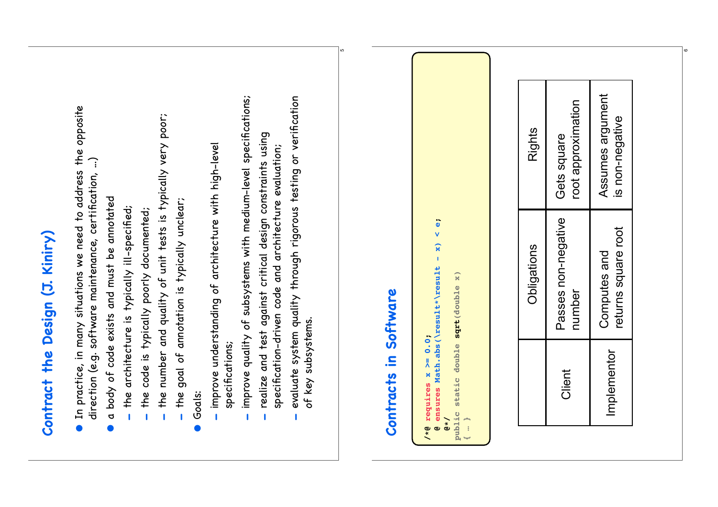| improve quality of subsystems with medium-level specifications;<br>evaluate system quality through rigorous testing or verification<br>In practice, in many situations we need to address the opposite<br>the number and quality of unit tests is typically very poor;<br>realize and test against critical design constraints using<br>- improve understanding of architecture with high-level<br>specification-driven code and architecture evaluation;<br>direction (e.g. software maintenance, certification, …)<br>a body of code exists and must be annotated<br>$-$ the goal of annotation is typically unclear;<br>the architecture is typically ill-specified;<br>the code is typically poorly documented;<br>Contract the Design (J. Kiniry)<br>of key subsystems.<br>specifications;<br>Godls:<br>$\begin{array}{c} \rule{0pt}{2.5ex} \rule{0pt}{2.5ex} \rule{0pt}{2.5ex} \rule{0pt}{2.5ex} \rule{0pt}{2.5ex} \rule{0pt}{2.5ex} \rule{0pt}{2.5ex} \rule{0pt}{2.5ex} \rule{0pt}{2.5ex} \rule{0pt}{2.5ex} \rule{0pt}{2.5ex} \rule{0pt}{2.5ex} \rule{0pt}{2.5ex} \rule{0pt}{2.5ex} \rule{0pt}{2.5ex} \rule{0pt}{2.5ex} \rule{0pt}{2.5ex} \rule{0pt}{2.5ex} \rule{0pt}{2.5ex} \rule{0$<br>$\bullet$ | Contracts in Software<br>/*@ requires $x \ge 0.0$ | $\ddot{\bullet}$<br>v<br>$\mathbf{x}$<br>Î,<br>ensures Math.abs(\result*\result<br>public static double sqrt (double x)<br>$\mathbf{a}$ $\star$ / |
|------------------------------------------------------------------------------------------------------------------------------------------------------------------------------------------------------------------------------------------------------------------------------------------------------------------------------------------------------------------------------------------------------------------------------------------------------------------------------------------------------------------------------------------------------------------------------------------------------------------------------------------------------------------------------------------------------------------------------------------------------------------------------------------------------------------------------------------------------------------------------------------------------------------------------------------------------------------------------------------------------------------------------------------------------------------------------------------------------------------------------------------------------------------------------------------------------------|---------------------------------------------------|---------------------------------------------------------------------------------------------------------------------------------------------------|
|------------------------------------------------------------------------------------------------------------------------------------------------------------------------------------------------------------------------------------------------------------------------------------------------------------------------------------------------------------------------------------------------------------------------------------------------------------------------------------------------------------------------------------------------------------------------------------------------------------------------------------------------------------------------------------------------------------------------------------------------------------------------------------------------------------------------------------------------------------------------------------------------------------------------------------------------------------------------------------------------------------------------------------------------------------------------------------------------------------------------------------------------------------------------------------------------------------|---------------------------------------------------|---------------------------------------------------------------------------------------------------------------------------------------------------|

ഗ

| Obligations                         | Rights                              |
|-------------------------------------|-------------------------------------|
| Passes non-negative<br>number       | root approximation<br>Gets square   |
| returns square root<br>Computes and | Assumes argument<br>is non-negative |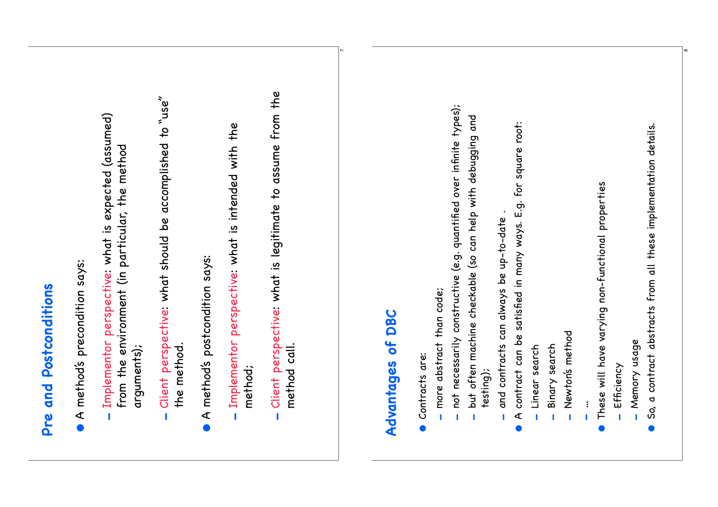| Implementor perspective: what is expected (assumed)<br>A method's precondition says:<br>Pre and Postconditions | from the environment (in particular, the method<br>arguments);<br>Ì | Client perspective: what should be accomplished to "use"<br>the method.<br>Ï | A method's postcondition says: | - Implementor perspective: what is intended with the<br>method; |
|----------------------------------------------------------------------------------------------------------------|---------------------------------------------------------------------|------------------------------------------------------------------------------|--------------------------------|-----------------------------------------------------------------|
|----------------------------------------------------------------------------------------------------------------|---------------------------------------------------------------------|------------------------------------------------------------------------------|--------------------------------|-----------------------------------------------------------------|

 Client perspective: what is legitimate to assume from the Client perspective: what is legitimate to assume from the method call. method call. -

 $\check{~}$ 

#### **DBC Advantages of DBC**  $\overline{\mathbf{b}}$ Advantages

- Contracts are: Contracts are: •
- more abstract than code; more abstract than code; -
- not necessarily constructive (e.g. quantified over infinite types);  $-$  not necessarily constructive (e.g. quantified over infinite types); -
- but often machine checkable (so can help with debugging and but often machine checkable (so can help with debugging and testing);
- and contracts can always be up-to-date. and contracts can always be up-to-date . -
- contract can be satisfied in many ways. E.g. for square root:  $\bullet$  A contract can be satisfied in many ways. E.g. for square root:  $\triangleleft$ •
- Linear search Linear search -
- Binary search Binary search -
- Newton's method Newton's method -
- $\vdots$ …
- These will have varying non-functional properties These will have varying non-functional properties •
- Efficiency - Efficiency
- Memory usage Memory usage -
- So, a contract abstracts from all these implementation details.  $\bullet$  So, a contract abstracts from all these implementation details. •

 $^{\circ}$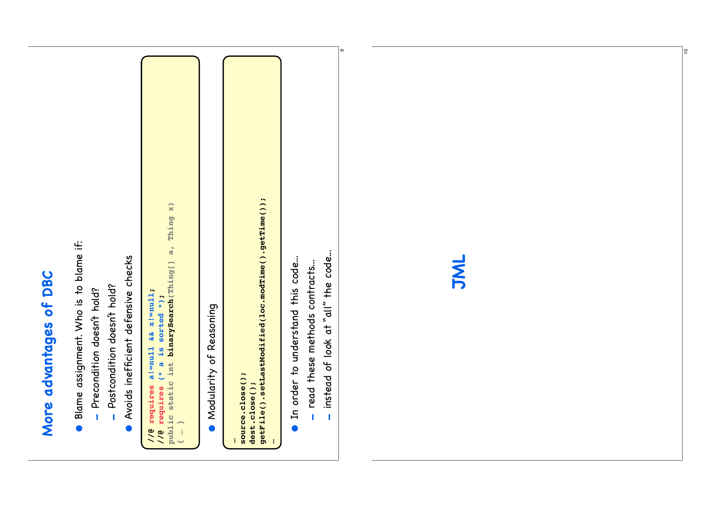## More advantages of DBC **More advantages of DBC**

- · Blame assignment. Who is to blame if: Blame assignment. Who is to blame if:
- Precondition doesn't hold? Precondition doesn't hold? -
- Postcondition doesn't hold? Postcondition doesn't hold? -
- Avoids inefficient defensive checks Avoids inefficient defensive checks •

```
\mathbf{x}public static int binarySearch(Thing[] a, Thing x)
//@ requires a!=null && x!=null;<br>//@ requires (* a is sorted *);<br>public static int binarySearch(Thing[] a, Thing
           //@ requires a!=null && x!=null;
                                           //@ requires (* a is sorted *);
                                                                                                    { … }
```

```
Modularity of Reasoning
      Modularity of Reasoning
       •
```

```
…source.close();<br>dest.close();<br>getFile().setLastModified(loc.modTime().getTime());
                       source.close();
                                                   dest.close();
                                                                             getFile().setLastModified(loc.modTime().getTime());
                                                                                                                     …
```
- In order to understand this code... In order to understand this code...
- read these methods contracts... read these methods contracts... -
- instead of look at "all" the code... instead of look at "all" the code...  $\mathbf{I}$

ග



 $|e|$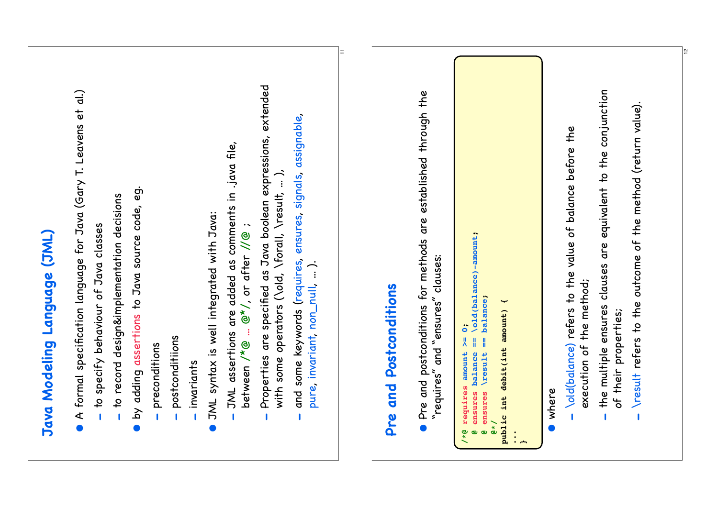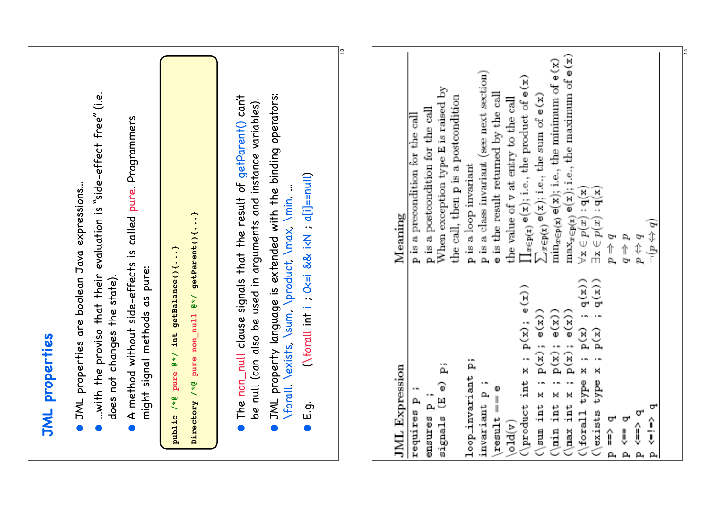| JML properties                                                                                                                                                                                                                                                                                                                                                                                                                                                                                                                                                                                                                                                                                                           |                                                                                                                                                                                                                                                                                                                                                                                                                                                                                                                                                                                                                                                                                                                                                                                     |
|--------------------------------------------------------------------------------------------------------------------------------------------------------------------------------------------------------------------------------------------------------------------------------------------------------------------------------------------------------------------------------------------------------------------------------------------------------------------------------------------------------------------------------------------------------------------------------------------------------------------------------------------------------------------------------------------------------------------------|-------------------------------------------------------------------------------------------------------------------------------------------------------------------------------------------------------------------------------------------------------------------------------------------------------------------------------------------------------------------------------------------------------------------------------------------------------------------------------------------------------------------------------------------------------------------------------------------------------------------------------------------------------------------------------------------------------------------------------------------------------------------------------------|
| A method without side-effects is called pure. Programmers<br>$\bullet$ JML properties are boolean Java expressions<br>might signal methods as pure:<br>does not changes the state)<br>$\bullet$                                                                                                                                                                                                                                                                                                                                                                                                                                                                                                                          | with the proviso that their evaluation is "side-effect free" (i.e.                                                                                                                                                                                                                                                                                                                                                                                                                                                                                                                                                                                                                                                                                                                  |
| Directory /*@ pure non_null @*/ getParent(){}<br>public /*@ pure @*/ int getBalance(){}                                                                                                                                                                                                                                                                                                                                                                                                                                                                                                                                                                                                                                  |                                                                                                                                                                                                                                                                                                                                                                                                                                                                                                                                                                                                                                                                                                                                                                                     |
| $(N$ forall int i ; $O \le i$ && $i \lt N$ ; $a[i]$ =null)<br>\forall \exists, \sum, \product, \max, \min,<br>ர்.<br>ம<br>$\bullet$                                                                                                                                                                                                                                                                                                                                                                                                                                                                                                                                                                                      | JML property language is extended with the binding operators:<br>The non_null clause signals that the result of getParent() can't<br>be null (can also be used in arguments and instance variables).                                                                                                                                                                                                                                                                                                                                                                                                                                                                                                                                                                                |
|                                                                                                                                                                                                                                                                                                                                                                                                                                                                                                                                                                                                                                                                                                                          | $\frac{1}{2}$                                                                                                                                                                                                                                                                                                                                                                                                                                                                                                                                                                                                                                                                                                                                                                       |
| $\begin{array}{c} \mathbf{;}\ \mathbf{q}(\mathbf{x}))\\ \mathbf{;}\ \mathbf{q}(\mathbf{x}))\end{array}$<br>$\frac{e(x)}{x}$<br>$p(x)$ ; $e(x)$<br>$p(x)$ ; $e(x)$<br>e(x))<br>$x$ ; $p(x)$ ;<br>$\mathbf{p}\left( \mathbf{x}\right)$<br>$\mathbf{p}(\mathbf{x})$<br>${\tt p}({\tt x})$ ;<br>$\ddot{\phantom{a}}$<br>Ä<br>Ä<br>×<br><b>JML</b> Expression<br>×<br>loop_invariant<br>type<br>(product int<br>$\sum$<br>$_{\rm type}$<br>$\widehat{\Phi}$<br>÷<br>$result == e$<br>$(\min \text{int } x$<br>$(\text{max int } x)$<br>invariant p<br>signals (E<br>requires p<br>ensures p<br>ᠳ<br>$(\text{for all}$<br>$\langle$ exists<br>ᡋ<br>ᡋ<br>ᡋ<br>î,<br>old(v)<br>Ĵ<br>Į<br>î<br>ρ,<br>$\mathbf{a}$<br>$\mathbf{a}$ | $\max_{x \in p(x)} e(x)$ ; i.e., the maximum of $e(x)$<br>$\min_{x \in p(x)} e(x)$ ; i.e., the minimum of $e(x)$<br>p is a class invariant (see next section)<br>$\prod_{x \in p(x)} e(x)$ ; i.e., the product of $e(x)$<br>When exception type E is raised by<br>e is the result returned by the call<br>$\sum_{x \in p(x)} e(x)$ ; i.e., the sum of $e(x)$<br>the call, then p is a postcondition<br>the value of v at entry to the call<br>p is a postcondition for the call<br>p is a precondition for the call<br>p is a loop invariant<br>$\exists \mathbf{x} \in p(x) : \mathbf{q}(\mathbf{x})$<br>(x)<br>Meaning<br>$\forall \ensuremath{\mathbf{x}} \in p(\ensuremath{\mathbf{x}})$<br>$(b \Leftrightarrow d)$<br>$d \Rightarrow b$<br>$p \leftrightarrow q$<br>$p \neq q$ |

 $\frac{1}{4}$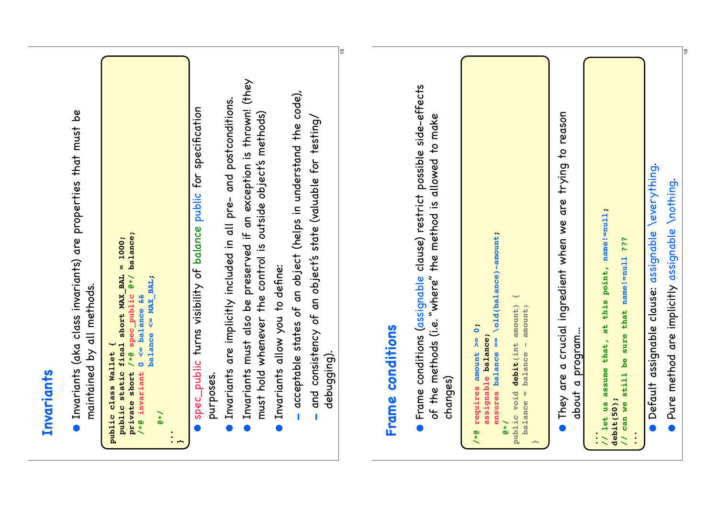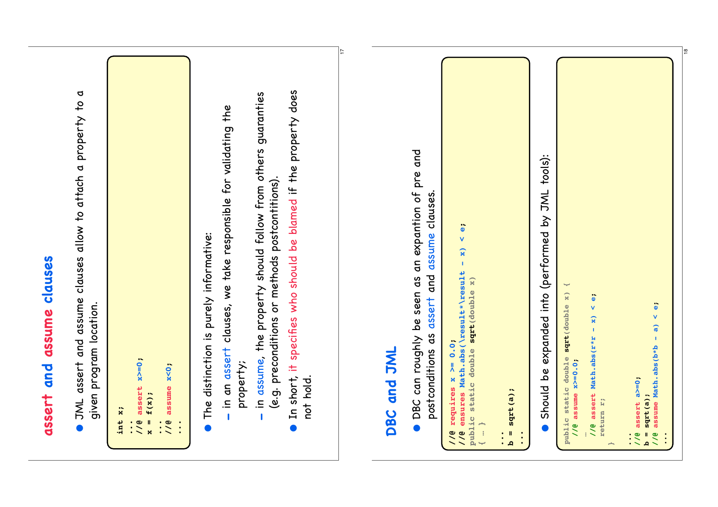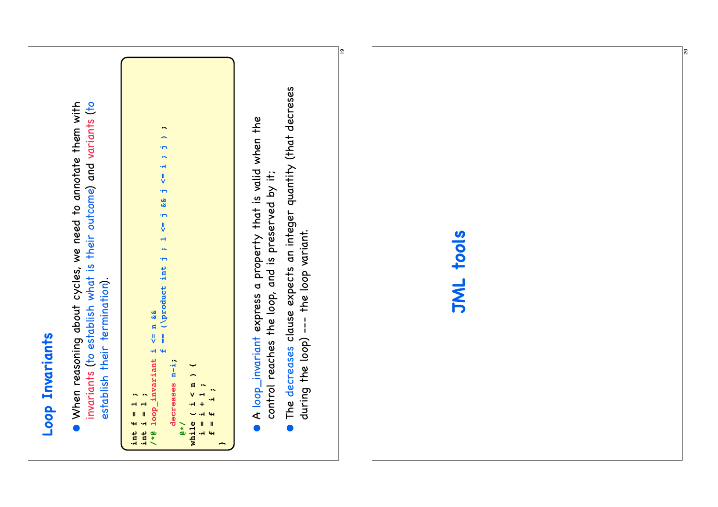

 When reasoning about cycles, we need to annotate them with invariants (to establish what is their outcome) and variants (to • When reasoning about cycles, we need to annotate them with invariants (to establish what is their outcome) and variants (to establish their termination). establish their termination).

```
\bullet\!\!\!\sim f == (\product int j ; 1 <= j && j <= i ; j ) ;
                                                \overline{\phantom{0}}\overline{ }\ddot{\phantom{a}}\overline{\mathbf{H}}\frac{1}{2}\overline{ }\tilde{\mathbf{z}}\overline{r}\frac{1}{2}\overline{\phantom{a}}\ddot{\phantom{1}}\ddot{\phantom{1}}\leq n &&<br>== (\product int
                                  /*@ loop_invariant i <= n &&
                                \frac{1}{2}44loop_invariant
                                                               decreases n-i:
                                                                 decreases n-i;
                                                                                               Y
                                                                                               while ( i < n ) {
                                                                                               \overline{\phantom{0}}\begin{array}{c} n \\ \n\sqrt{1} \end{array} i = i + 1 ;
                                                                                                                               \ddot{\phantom{0}} f = f i ;
     \bulletint f = 1 ;
                   int i = 1 ;
                                                                                                                            \ddot{ }\frac{4}{\pi}\ddot{ }\ddot{\phantom{1}}\sim 4
                                                                                                                          \mathbf{H}while
   \ddot{\mathbf{H}}\ddot{\phantom{1}}@*/
\frac{1}{1}mH H
                                                                                                                                             }
```
- $\bullet$  A loop\_invariant express a property that is valid when the A loop\_invariant express a property that is valid when the control reaches the loop, and is preserved by it; control reaches the loop, and is preserved by it; •
- $\bullet$  The decreases clause expects an integer quantity (that decreses The decreases clause expects an integer quantity (that decreses during the loop) --- the loop variant. during the loop) --- the loop variant. •

|စ္

#### **JML tools JML tools**

 $\mathbb{R}$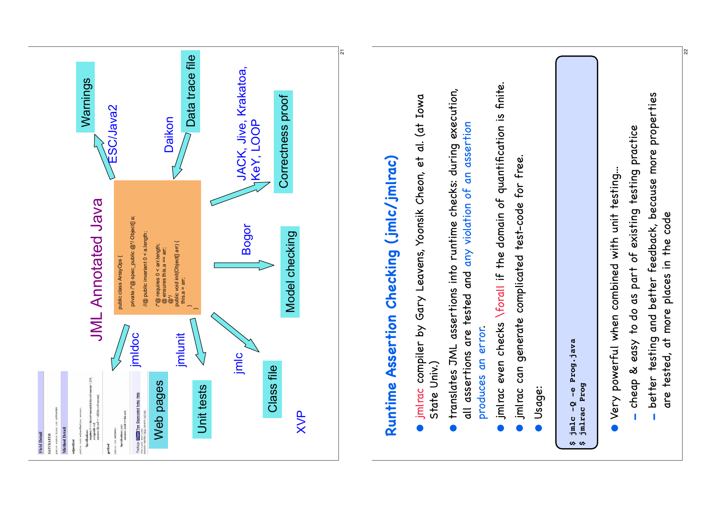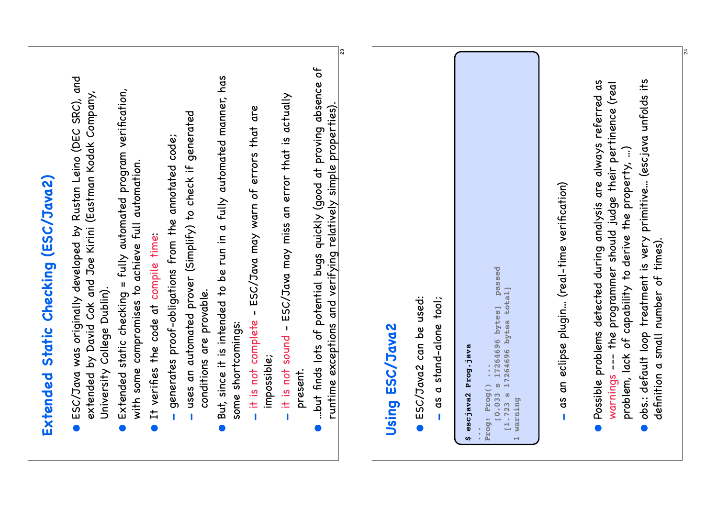| Static Checking (ESC/Java2)<br>Extended                                                                                                                                                                                                                                                                                      |
|------------------------------------------------------------------------------------------------------------------------------------------------------------------------------------------------------------------------------------------------------------------------------------------------------------------------------|
| and<br>extended by David Cok and Joe Kirini (Eastman Kodak Company,<br>was originally developed by Rustan Leino (DEC SRC),<br>University College Dublin).<br>ESC/Java<br>$\bullet$                                                                                                                                           |
| static checking = fully automated program verification,<br>with some compromises to achieve full automation.<br>Extended<br>$\bullet$                                                                                                                                                                                        |
| It verifies the code at compile time:<br>$\bullet$                                                                                                                                                                                                                                                                           |
| generates proof-obligations from the annotated code;                                                                                                                                                                                                                                                                         |
| generated<br>uses an automated prover (Simplify) to check if<br>conditions are provable.                                                                                                                                                                                                                                     |
| But, since it is intended to be run in a fully automated manner, has<br>some shortcomings:<br>$\bullet$                                                                                                                                                                                                                      |
| are<br>that<br>it is not complete - ESC/Java may warn of errors<br>impossible;                                                                                                                                                                                                                                               |
| it is not sound - ESC/Java may miss an error that is actually<br>present.<br>$\mathbf{I}$                                                                                                                                                                                                                                    |
| but finds lots of potential bugs quickly (good at proving absence of<br>runtime exceptions and verifying relatively simple properties).<br>$\bullet$                                                                                                                                                                         |
| ೫                                                                                                                                                                                                                                                                                                                            |
| ESC/Java2<br>Using                                                                                                                                                                                                                                                                                                           |
| ESC/Java2 can be used:<br>tool;<br>stand-alone<br>$\sigma$<br>ds                                                                                                                                                                                                                                                             |
| Prog.java<br>escjava2<br>w.                                                                                                                                                                                                                                                                                                  |
| passed<br>total]<br>$\frac{17264696}{17264696}$ bytes]<br>17264696 bytes<br>U)<br>Prog: Prog()<br>$\boldsymbol{\omega}$<br>0.033<br>warning<br>[1.723]<br>$\overline{\phantom{0}}$                                                                                                                                           |
| an eclipse plugin (real-time verification)<br>g<br>Q                                                                                                                                                                                                                                                                         |
| obs.: default loop treatment is very primitive (escjava unfolds its<br>Possible problems detected during analysis are always referred as<br>--- the programmer should judge their pertinence (real<br>problem, lack of capability to derive the property, )<br>definition a small number of times).<br>warnings<br>$\bullet$ |

 $\mathbb{Z}$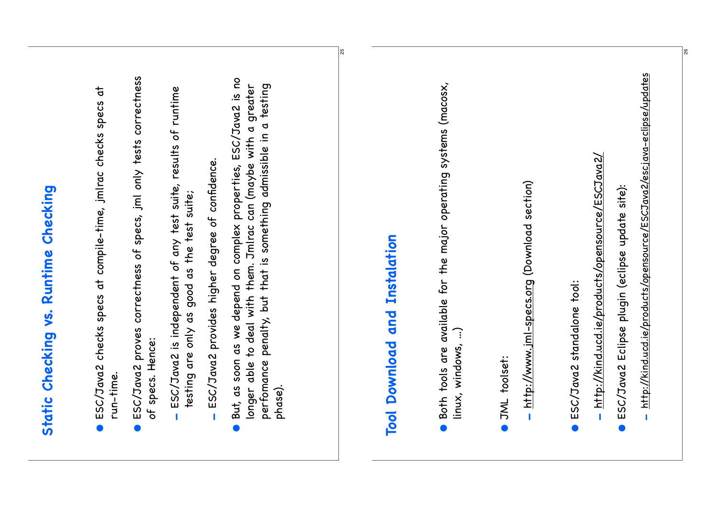| But, as soon as we depend on complex properties, ESC/Java2 is no<br>perfomance penalty, but that is something admissible in a testing<br>longer able to deal with them. Jmlrac can (maybe with a greater<br>ESC/Java2 provides higher degree of confidence.<br>testing are only as good as the test suite;<br>phase). | Both tools are available for the major operating systems (macosx,<br>Tool Download and Instalation<br>linux, windows, ) |
|-----------------------------------------------------------------------------------------------------------------------------------------------------------------------------------------------------------------------------------------------------------------------------------------------------------------------|-------------------------------------------------------------------------------------------------------------------------|
|                                                                                                                                                                                                                                                                                                                       |                                                                                                                         |
|                                                                                                                                                                                                                                                                                                                       |                                                                                                                         |

- http://www.jml-specs.org (Download section) http://www.jml-specs.org (Download section)
- **ESC/Java2** standalone tool: ESC/Java2 standalone tool:
- http://kind.ucd.ie/products/opensource/ESCJava2/ http://kind.ucd.ie/products/opensource/ESCJava2/
- · ESC/Java2 Eclipse plugin (eclipse update site): ESC/Java2 Eclipse plugin (eclipse update site):
- http://kind.ucd.ie/products/opensource/ESCJava2/escjava-eclipse/updates http://kind.ucd.ie/products/opensource/ESCJava2/escjava-eclipse/updates

26